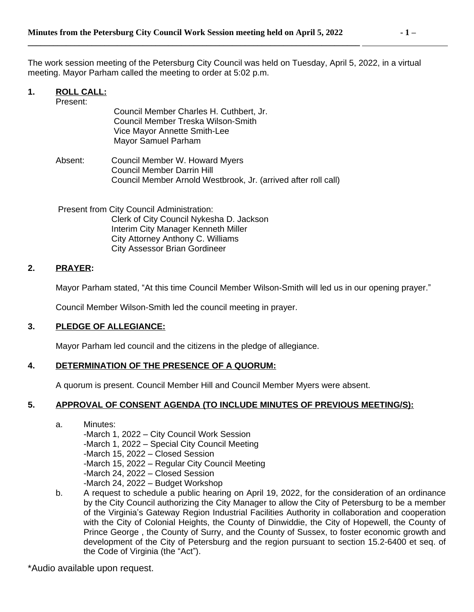The work session meeting of the Petersburg City Council was held on Tuesday, April 5, 2022, in a virtual meeting. Mayor Parham called the meeting to order at 5:02 p.m.

#### **1. ROLL CALL:**

| Present: |                                                                |
|----------|----------------------------------------------------------------|
|          | Council Member Charles H. Cuthbert, Jr.                        |
|          | Council Member Treska Wilson-Smith                             |
|          | Vice Mayor Annette Smith-Lee                                   |
|          | Mayor Samuel Parham                                            |
|          |                                                                |
| Absent:  | Council Member W. Howard Myers                                 |
|          | Council Member Darrin Hill                                     |
|          | Council Member Arnold Westbrook, Jr. (arrived after roll call) |
|          |                                                                |
|          | Present from City Council Administration:                      |
|          |                                                                |
|          | Clerk of City Council Nykesha D. Jackson                       |
|          | Interim City Manager Kenneth Miller                            |

#### **2. PRAYER:**

Mayor Parham stated, "At this time Council Member Wilson-Smith will led us in our opening prayer."

Council Member Wilson-Smith led the council meeting in prayer.

City Attorney Anthony C. Williams City Assessor Brian Gordineer

## **3. PLEDGE OF ALLEGIANCE:**

Mayor Parham led council and the citizens in the pledge of allegiance.

## **4. DETERMINATION OF THE PRESENCE OF A QUORUM:**

A quorum is present. Council Member Hill and Council Member Myers were absent.

## **5. APPROVAL OF CONSENT AGENDA (TO INCLUDE MINUTES OF PREVIOUS MEETING/S):**

- a. Minutes: -March 1, 2022 – City Council Work Session -March 1, 2022 – Special City Council Meeting -March 15, 2022 – Closed Session -March 15, 2022 – Regular City Council Meeting -March 24, 2022 – Closed Session -March 24, 2022 – Budget Workshop b. A request to schedule a public hearing on April 19, 2022, for the consideration of an ordinance
- by the City Council authorizing the City Manager to allow the City of Petersburg to be a member of the Virginia's Gateway Region Industrial Facilities Authority in collaboration and cooperation with the City of Colonial Heights, the County of Dinwiddie, the City of Hopewell, the County of Prince George , the County of Surry, and the County of Sussex, to foster economic growth and development of the City of Petersburg and the region pursuant to section 15.2-6400 et seq. of the Code of Virginia (the "Act").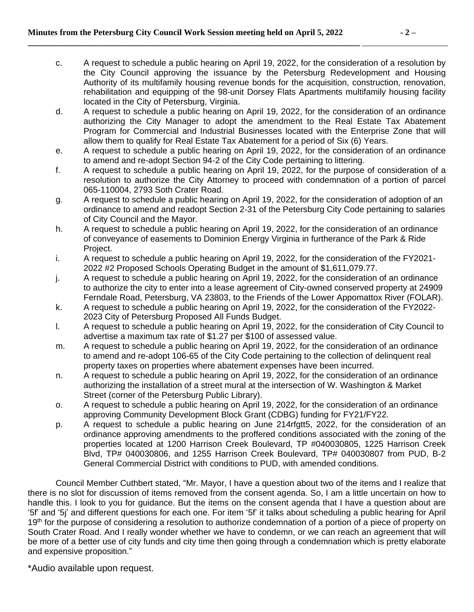- c. A request to schedule a public hearing on April 19, 2022, for the consideration of a resolution by the City Council approving the issuance by the Petersburg Redevelopment and Housing Authority of its multifamily housing revenue bonds for the acquisition, construction, renovation, rehabilitation and equipping of the 98-unit Dorsey Flats Apartments multifamily housing facility located in the City of Petersburg, Virginia.
- d. A request to schedule a public hearing on April 19, 2022, for the consideration of an ordinance authorizing the City Manager to adopt the amendment to the Real Estate Tax Abatement Program for Commercial and Industrial Businesses located with the Enterprise Zone that will allow them to qualify for Real Estate Tax Abatement for a period of Six (6) Years.
- e. A request to schedule a public hearing on April 19, 2022, for the consideration of an ordinance to amend and re-adopt Section 94-2 of the City Code pertaining to littering.
- f. A request to schedule a public hearing on April 19, 2022, for the purpose of consideration of a resolution to authorize the City Attorney to proceed with condemnation of a portion of parcel 065-110004, 2793 Soth Crater Road.
- g. A request to schedule a public hearing on April 19, 2022, for the consideration of adoption of an ordinance to amend and readopt Section 2-31 of the Petersburg City Code pertaining to salaries of City Council and the Mayor.
- h. A request to schedule a public hearing on April 19, 2022, for the consideration of an ordinance of conveyance of easements to Dominion Energy Virginia in furtherance of the Park & Ride Project.
- i. A request to schedule a public hearing on April 19, 2022, for the consideration of the FY2021- 2022 #2 Proposed Schools Operating Budget in the amount of \$1,611,079.77.
- j. A request to schedule a public hearing on April 19, 2022, for the consideration of an ordinance to authorize the city to enter into a lease agreement of City-owned conserved property at 24909 Ferndale Road, Petersburg, VA 23803, to the Friends of the Lower Appomattox River (FOLAR).
- k. A request to schedule a public hearing on April 19, 2022, for the consideration of the FY2022- 2023 City of Petersburg Proposed All Funds Budget.
- l. A request to schedule a public hearing on April 19, 2022, for the consideration of City Council to advertise a maximum tax rate of \$1.27 per \$100 of assessed value.
- m. A request to schedule a public hearing on April 19, 2022, for the consideration of an ordinance to amend and re-adopt 106-65 of the City Code pertaining to the collection of delinquent real property taxes on properties where abatement expenses have been incurred.
- n. A request to schedule a public hearing on April 19, 2022, for the consideration of an ordinance authorizing the installation of a street mural at the intersection of W. Washington & Market Street (corner of the Petersburg Public Library).
- o. A request to schedule a public hearing on April 19, 2022, for the consideration of an ordinance approving Community Development Block Grant (CDBG) funding for FY21/FY22.
- p. A request to schedule a public hearing on June 214rfgtt5, 2022, for the consideration of an ordinance approving amendments to the proffered conditions associated with the zoning of the properties located at 1200 Harrison Creek Boulevard, TP #040030805, 1225 Harrison Creek Blvd, TP# 040030806, and 1255 Harrison Creek Boulevard, TP# 040030807 from PUD, B-2 General Commercial District with conditions to PUD, with amended conditions.

Council Member Cuthbert stated, "Mr. Mayor, I have a question about two of the items and I realize that there is no slot for discussion of items removed from the consent agenda. So, I am a little uncertain on how to handle this. I look to you for guidance. But the items on the consent agenda that I have a question about are '5f' and '5j' and different questions for each one. For item '5f' it talks about scheduling a public hearing for April 19<sup>th</sup> for the purpose of considering a resolution to authorize condemnation of a portion of a piece of property on South Crater Road. And I really wonder whether we have to condemn, or we can reach an agreement that will be more of a better use of city funds and city time then going through a condemnation which is pretty elaborate and expensive proposition."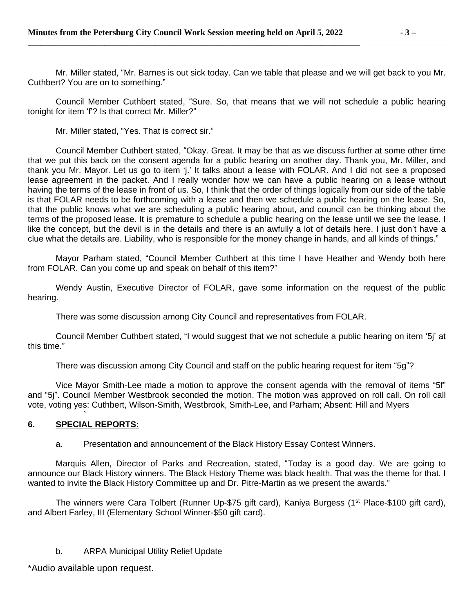Mr. Miller stated, "Mr. Barnes is out sick today. Can we table that please and we will get back to you Mr. Cuthbert? You are on to something."

Council Member Cuthbert stated, "Sure. So, that means that we will not schedule a public hearing tonight for item 'f'? Is that correct Mr. Miller?"

Mr. Miller stated, "Yes. That is correct sir."

Council Member Cuthbert stated, "Okay. Great. It may be that as we discuss further at some other time that we put this back on the consent agenda for a public hearing on another day. Thank you, Mr. Miller, and thank you Mr. Mayor. Let us go to item 'j.' It talks about a lease with FOLAR. And I did not see a proposed lease agreement in the packet. And I really wonder how we can have a public hearing on a lease without having the terms of the lease in front of us. So, I think that the order of things logically from our side of the table is that FOLAR needs to be forthcoming with a lease and then we schedule a public hearing on the lease. So, that the public knows what we are scheduling a public hearing about, and council can be thinking about the terms of the proposed lease. It is premature to schedule a public hearing on the lease until we see the lease. I like the concept, but the devil is in the details and there is an awfully a lot of details here. I just don't have a clue what the details are. Liability, who is responsible for the money change in hands, and all kinds of things."

Mayor Parham stated, "Council Member Cuthbert at this time I have Heather and Wendy both here from FOLAR. Can you come up and speak on behalf of this item?"

Wendy Austin, Executive Director of FOLAR, gave some information on the request of the public hearing.

There was some discussion among City Council and representatives from FOLAR.

Council Member Cuthbert stated, "I would suggest that we not schedule a public hearing on item '5j' at this time."

There was discussion among City Council and staff on the public hearing request for item "5g"?

Vice Mayor Smith-Lee made a motion to approve the consent agenda with the removal of items "5f" and "5j". Council Member Westbrook seconded the motion. The motion was approved on roll call. On roll call vote, voting yes: Cuthbert, Wilson-Smith, Westbrook, Smith-Lee, and Parham; Absent: Hill and Myers

#### ` **6. SPECIAL REPORTS:**

# a. Presentation and announcement of the Black History Essay Contest Winners.

Marquis Allen, Director of Parks and Recreation, stated, "Today is a good day. We are going to announce our Black History winners. The Black History Theme was black health. That was the theme for that. I wanted to invite the Black History Committee up and Dr. Pitre-Martin as we present the awards."

The winners were Cara Tolbert (Runner Up-\$75 gift card), Kaniya Burgess (1<sup>st</sup> Place-\$100 gift card), and Albert Farley, III (Elementary School Winner-\$50 gift card).

# b. ARPA Municipal Utility Relief Update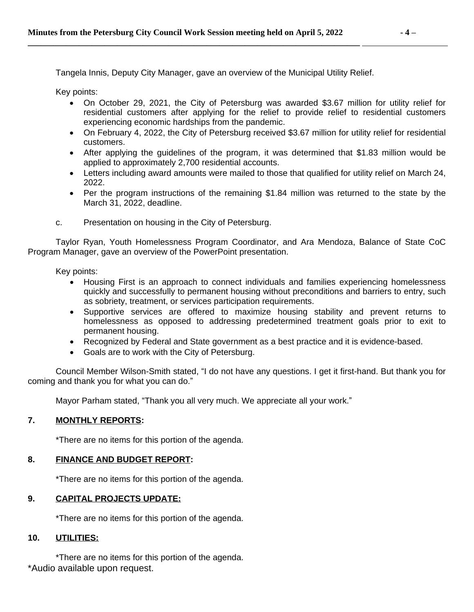Tangela Innis, Deputy City Manager, gave an overview of the Municipal Utility Relief.

Key points:

- On October 29, 2021, the City of Petersburg was awarded \$3.67 million for utility relief for residential customers after applying for the relief to provide relief to residential customers experiencing economic hardships from the pandemic.
- On February 4, 2022, the City of Petersburg received \$3.67 million for utility relief for residential customers.
- After applying the guidelines of the program, it was determined that \$1.83 million would be applied to approximately 2,700 residential accounts.
- Letters including award amounts were mailed to those that qualified for utility relief on March 24, 2022.
- Per the program instructions of the remaining \$1.84 million was returned to the state by the March 31, 2022, deadline.
- c. Presentation on housing in the City of Petersburg.

Taylor Ryan, Youth Homelessness Program Coordinator, and Ara Mendoza, Balance of State CoC Program Manager, gave an overview of the PowerPoint presentation.

Key points:

- Housing First is an approach to connect individuals and families experiencing homelessness quickly and successfully to permanent housing without preconditions and barriers to entry, such as sobriety, treatment, or services participation requirements.
- Supportive services are offered to maximize housing stability and prevent returns to homelessness as opposed to addressing predetermined treatment goals prior to exit to permanent housing.
- Recognized by Federal and State government as a best practice and it is evidence-based.
- Goals are to work with the City of Petersburg.

Council Member Wilson-Smith stated, "I do not have any questions. I get it first-hand. But thank you for coming and thank you for what you can do."

Mayor Parham stated, "Thank you all very much. We appreciate all your work."

## **7. MONTHLY REPORTS:**

\*There are no items for this portion of the agenda.

# **8. FINANCE AND BUDGET REPORT:**

\*There are no items for this portion of the agenda.

## **9. CAPITAL PROJECTS UPDATE:**

\*There are no items for this portion of the agenda.

## **10. UTILITIES:**

\*Audio available upon request. \*There are no items for this portion of the agenda.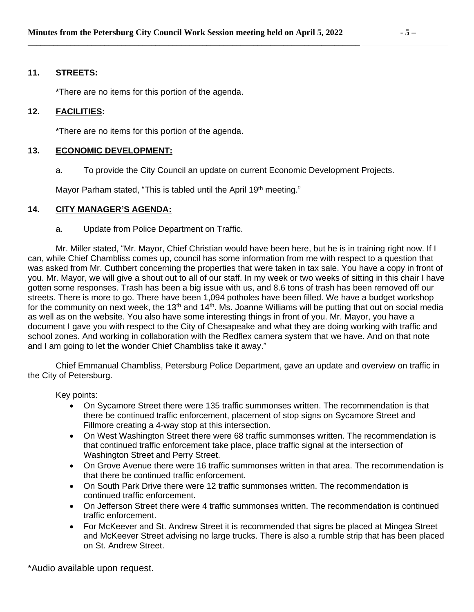## **11. STREETS:**

\*There are no items for this portion of the agenda.

## **12. FACILITIES:**

\*There are no items for this portion of the agenda.

## **13. ECONOMIC DEVELOPMENT:**

a. To provide the City Council an update on current Economic Development Projects.

Mayor Parham stated, "This is tabled until the April 19th meeting."

## **14. CITY MANAGER'S AGENDA:**

a. Update from Police Department on Traffic.

Mr. Miller stated, "Mr. Mayor, Chief Christian would have been here, but he is in training right now. If I can, while Chief Chambliss comes up, council has some information from me with respect to a question that was asked from Mr. Cuthbert concerning the properties that were taken in tax sale. You have a copy in front of you. Mr. Mayor, we will give a shout out to all of our staff. In my week or two weeks of sitting in this chair I have gotten some responses. Trash has been a big issue with us, and 8.6 tons of trash has been removed off our streets. There is more to go. There have been 1,094 potholes have been filled. We have a budget workshop for the community on next week, the 13<sup>th</sup> and 14<sup>th</sup>. Ms. Joanne Williams will be putting that out on social media as well as on the website. You also have some interesting things in front of you. Mr. Mayor, you have a document I gave you with respect to the City of Chesapeake and what they are doing working with traffic and school zones. And working in collaboration with the Redflex camera system that we have. And on that note and I am going to let the wonder Chief Chambliss take it away."

Chief Emmanual Chambliss, Petersburg Police Department, gave an update and overview on traffic in the City of Petersburg.

Key points:

- On Sycamore Street there were 135 traffic summonses written. The recommendation is that there be continued traffic enforcement, placement of stop signs on Sycamore Street and Fillmore creating a 4-way stop at this intersection.
- On West Washington Street there were 68 traffic summonses written. The recommendation is that continued traffic enforcement take place, place traffic signal at the intersection of Washington Street and Perry Street.
- On Grove Avenue there were 16 traffic summonses written in that area. The recommendation is that there be continued traffic enforcement.
- On South Park Drive there were 12 traffic summonses written. The recommendation is continued traffic enforcement.
- On Jefferson Street there were 4 traffic summonses written. The recommendation is continued traffic enforcement.
- For McKeever and St. Andrew Street it is recommended that signs be placed at Mingea Street and McKeever Street advising no large trucks. There is also a rumble strip that has been placed on St. Andrew Street.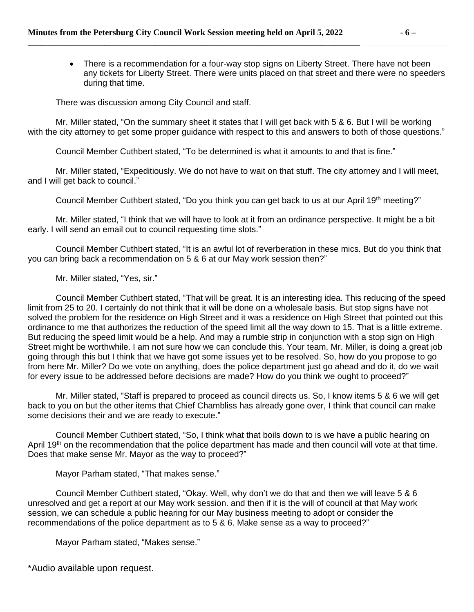• There is a recommendation for a four-way stop signs on Liberty Street. There have not been any tickets for Liberty Street. There were units placed on that street and there were no speeders during that time.

There was discussion among City Council and staff.

Mr. Miller stated, "On the summary sheet it states that I will get back with 5 & 6. But I will be working with the city attorney to get some proper guidance with respect to this and answers to both of those questions."

Council Member Cuthbert stated, "To be determined is what it amounts to and that is fine."

Mr. Miller stated, "Expeditiously. We do not have to wait on that stuff. The city attorney and I will meet, and I will get back to council."

Council Member Cuthbert stated, "Do you think you can get back to us at our April 19<sup>th</sup> meeting?"

Mr. Miller stated, "I think that we will have to look at it from an ordinance perspective. It might be a bit early. I will send an email out to council requesting time slots."

Council Member Cuthbert stated, "It is an awful lot of reverberation in these mics. But do you think that you can bring back a recommendation on 5 & 6 at our May work session then?"

Mr. Miller stated, "Yes, sir."

Council Member Cuthbert stated, "That will be great. It is an interesting idea. This reducing of the speed limit from 25 to 20. I certainly do not think that it will be done on a wholesale basis. But stop signs have not solved the problem for the residence on High Street and it was a residence on High Street that pointed out this ordinance to me that authorizes the reduction of the speed limit all the way down to 15. That is a little extreme. But reducing the speed limit would be a help. And may a rumble strip in conjunction with a stop sign on High Street might be worthwhile. I am not sure how we can conclude this. Your team, Mr. Miller, is doing a great job going through this but I think that we have got some issues yet to be resolved. So, how do you propose to go from here Mr. Miller? Do we vote on anything, does the police department just go ahead and do it, do we wait for every issue to be addressed before decisions are made? How do you think we ought to proceed?"

Mr. Miller stated, "Staff is prepared to proceed as council directs us. So, I know items 5 & 6 we will get back to you on but the other items that Chief Chambliss has already gone over, I think that council can make some decisions their and we are ready to execute."

Council Member Cuthbert stated, "So, I think what that boils down to is we have a public hearing on April 19<sup>th</sup> on the recommendation that the police department has made and then council will vote at that time. Does that make sense Mr. Mayor as the way to proceed?"

Mayor Parham stated, "That makes sense."

Council Member Cuthbert stated, "Okay. Well, why don't we do that and then we will leave 5 & 6 unresolved and get a report at our May work session. and then if it is the will of council at that May work session, we can schedule a public hearing for our May business meeting to adopt or consider the recommendations of the police department as to 5 & 6. Make sense as a way to proceed?"

Mayor Parham stated, "Makes sense."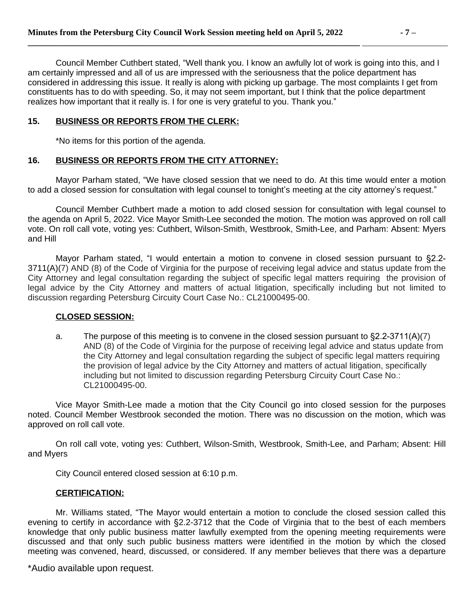### **15. BUSINESS OR REPORTS FROM THE CLERK:**

\*No items for this portion of the agenda.

## **16. BUSINESS OR REPORTS FROM THE CITY ATTORNEY:**

Mayor Parham stated, "We have closed session that we need to do. At this time would enter a motion to add a closed session for consultation with legal counsel to tonight's meeting at the city attorney's request."

Council Member Cuthbert made a motion to add closed session for consultation with legal counsel to the agenda on April 5, 2022. Vice Mayor Smith-Lee seconded the motion. The motion was approved on roll call vote. On roll call vote, voting yes: Cuthbert, Wilson-Smith, Westbrook, Smith-Lee, and Parham: Absent: Myers and Hill

Mayor Parham stated, "I would entertain a motion to convene in closed session pursuant to §2.2- 3711(A)(7) AND (8) of the Code of Virginia for the purpose of receiving legal advice and status update from the City Attorney and legal consultation regarding the subject of specific legal matters requiring the provision of legal advice by the City Attorney and matters of actual litigation, specifically including but not limited to discussion regarding Petersburg Circuity Court Case No.: CL21000495-00.

## **CLOSED SESSION:**

a. The purpose of this meeting is to convene in the closed session pursuant to §2.2-3711(A)(7) AND (8) of the Code of Virginia for the purpose of receiving legal advice and status update from the City Attorney and legal consultation regarding the subject of specific legal matters requiring the provision of legal advice by the City Attorney and matters of actual litigation, specifically including but not limited to discussion regarding Petersburg Circuity Court Case No.: CL21000495-00.

Vice Mayor Smith-Lee made a motion that the City Council go into closed session for the purposes noted. Council Member Westbrook seconded the motion. There was no discussion on the motion, which was approved on roll call vote.

On roll call vote, voting yes: Cuthbert, Wilson-Smith, Westbrook, Smith-Lee, and Parham; Absent: Hill and Myers

City Council entered closed session at 6:10 p.m.

## **CERTIFICATION:**

Mr. Williams stated, "The Mayor would entertain a motion to conclude the closed session called this evening to certify in accordance with §2.2-3712 that the Code of Virginia that to the best of each members knowledge that only public business matter lawfully exempted from the opening meeting requirements were discussed and that only such public business matters were identified in the motion by which the closed meeting was convened, heard, discussed, or considered. If any member believes that there was a departure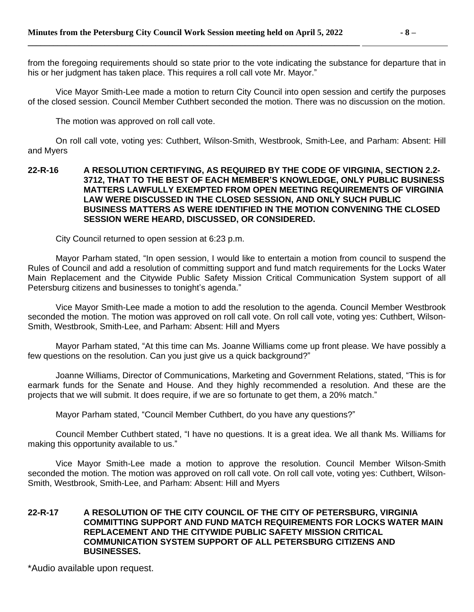from the foregoing requirements should so state prior to the vote indicating the substance for departure that in his or her judgment has taken place. This requires a roll call vote Mr. Mayor."

Vice Mayor Smith-Lee made a motion to return City Council into open session and certify the purposes of the closed session. Council Member Cuthbert seconded the motion. There was no discussion on the motion.

The motion was approved on roll call vote.

On roll call vote, voting yes: Cuthbert, Wilson-Smith, Westbrook, Smith-Lee, and Parham: Absent: Hill and Myers

#### **22-R-16 A RESOLUTION CERTIFYING, AS REQUIRED BY THE CODE OF VIRGINIA, SECTION 2.2- 3712, THAT TO THE BEST OF EACH MEMBER'S KNOWLEDGE, ONLY PUBLIC BUSINESS MATTERS LAWFULLY EXEMPTED FROM OPEN MEETING REQUIREMENTS OF VIRGINIA LAW WERE DISCUSSED IN THE CLOSED SESSION, AND ONLY SUCH PUBLIC BUSINESS MATTERS AS WERE IDENTIFIED IN THE MOTION CONVENING THE CLOSED SESSION WERE HEARD, DISCUSSED, OR CONSIDERED.**

City Council returned to open session at 6:23 p.m.

Mayor Parham stated, "In open session, I would like to entertain a motion from council to suspend the Rules of Council and add a resolution of committing support and fund match requirements for the Locks Water Main Replacement and the Citywide Public Safety Mission Critical Communication System support of all Petersburg citizens and businesses to tonight's agenda."

Vice Mayor Smith-Lee made a motion to add the resolution to the agenda. Council Member Westbrook seconded the motion. The motion was approved on roll call vote. On roll call vote, voting yes: Cuthbert, Wilson-Smith, Westbrook, Smith-Lee, and Parham: Absent: Hill and Myers

Mayor Parham stated, "At this time can Ms. Joanne Williams come up front please. We have possibly a few questions on the resolution. Can you just give us a quick background?"

Joanne Williams, Director of Communications, Marketing and Government Relations, stated, "This is for earmark funds for the Senate and House. And they highly recommended a resolution. And these are the projects that we will submit. It does require, if we are so fortunate to get them, a 20% match."

Mayor Parham stated, "Council Member Cuthbert, do you have any questions?"

Council Member Cuthbert stated, "I have no questions. It is a great idea. We all thank Ms. Williams for making this opportunity available to us."

Vice Mayor Smith-Lee made a motion to approve the resolution. Council Member Wilson-Smith seconded the motion. The motion was approved on roll call vote. On roll call vote, voting yes: Cuthbert, Wilson-Smith, Westbrook, Smith-Lee, and Parham: Absent: Hill and Myers

### **22-R-17 A RESOLUTION OF THE CITY COUNCIL OF THE CITY OF PETERSBURG, VIRGINIA COMMITTING SUPPORT AND FUND MATCH REQUIREMENTS FOR LOCKS WATER MAIN REPLACEMENT AND THE CITYWIDE PUBLIC SAFETY MISSION CRITICAL COMMUNICATION SYSTEM SUPPORT OF ALL PETERSBURG CITIZENS AND BUSINESSES.**